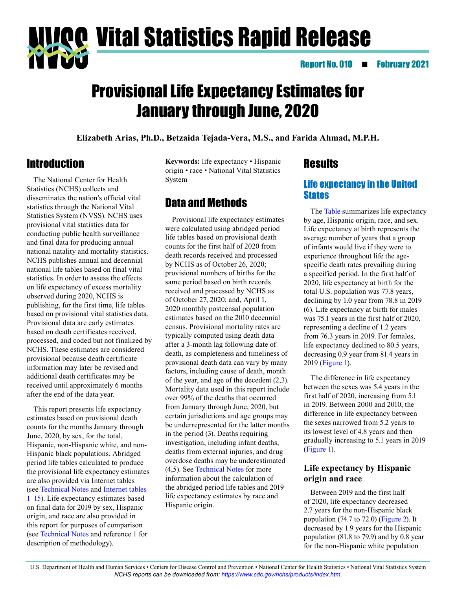**Vital Statistics Rapid Release** 

### Report No. 010 **February 2021**

# Provisional Life Expectancy Estimates for January through June, 2020

**Elizabeth Arias, Ph.D., Betzaida Tejada-Vera, M.S., and Farida Ahmad, M.P.H.**

# **Introduction**

The National Center for Health Statistics (NCHS) collects and disseminates the nation's official vital statistics through the National Vital Statistics System (NVSS). NCHS uses provisional vital statistics data for conducting public health surveillance and final data for producing annual national natality and mortality statistics. NCHS publishes annual and decennial national life tables based on final vital statistics. In order to assess the effects on life expectancy of excess mortality observed during 2020, NCHS is publishing, for the first time, life tables based on provisional vital statistics data. Provisional data are early estimates based on death certificates received, processed, and coded but not finalized by NCHS. These estimates are considered provisional because death certificate information may later be revised and additional death certificates may be received until approximately 6 months after the end of the data year.

This report presents life expectancy estimates based on provisional death counts for the months January through June, 2020, by sex, for the total, Hispanic, non-Hispanic white, and non-Hispanic black populations. Abridged period life tables calculated to produce the provisional life expectancy estimates are also provided via Internet tables (see [Technical Notes](#page-5-0) and [Internet tables](https://www.cdc.gov/nchs/data/vsrr/vsrr010-tables-508.pdf)  [1–15](https://www.cdc.gov/nchs/data/vsrr/vsrr010-tables-508.pdf)). Life expectancy estimates based on final data for 2019 by sex, Hispanic origin, and race are also provided in this report for purposes of comparison (see [Technical Notes](#page-5-0) and reference 1 for description of methodology).

**Keywords:** life expectancy • Hispanic origin • race • National Vital Statistics System

# Data and Methods

Provisional life expectancy estimates were calculated using abridged period life tables based on provisional death counts for the first half of 2020 from death records received and processed by NCHS as of October 26, 2020; provisional numbers of births for the same period based on birth records received and processed by NCHS as of October 27, 2020; and, April 1, 2020 monthly postcensal population estimates based on the 2010 decennial census. Provisional mortality rates are typically computed using death data after a 3-month lag following date of death, as completeness and timeliness of provisional death data can vary by many factors, including cause of death, month of the year, and age of the decedent (2,3). Mortality data used in this report include over 99% of the deaths that occurred from January through June, 2020, but certain jurisdictions and age groups may be underrepresented for the latter months in the period (3). Deaths requiring investigation, including infant deaths, deaths from external injuries, and drug overdose deaths may be underestimated (4,5). See [Technical Notes](#page-5-0) for more information about the calculation of the abridged period life tables and 2019 life expectancy estimates by race and Hispanic origin.

### **Results**

### Life expectancy in the United **States**

The [Table](#page-1-0) summarizes life expectancy by age, Hispanic origin, race, and sex. Life expectancy at birth represents the average number of years that a group of infants would live if they were to experience throughout life the agespecific death rates prevailing during a specified period. In the first half of 2020, life expectancy at birth for the total U.S. population was 77.8 years, declining by 1.0 year from 78.8 in 2019 (6). Life expectancy at birth for males was 75.1 years in the first half of 2020, representing a decline of 1.2 years from 76.3 years in 2019. For females, life expectancy declined to 80.5 years, decreasing 0.9 year from 81.4 years in 2019 [\(Figure 1\)](#page-1-0).

The difference in life expectancy between the sexes was 5.4 years in the first half of 2020, increasing from 5.1 in 2019. Between 2000 and 2010, the difference in life expectancy between the sexes narrowed from 5.2 years to its lowest level of 4.8 years and then gradually increasing to 5.1 years in 2019 [\(Figure 1\)](#page-1-0).

### **Life expectancy by Hispanic origin and race**

Between 2019 and the first half of 2020, life expectancy decreased 2.7 years for the non-Hispanic black population (74.7 to 72.0) [\(Figure 2\)](#page-2-0). It decreased by 1.9 years for the Hispanic population (81.8 to 79.9) and by 0.8 year for the non-Hispanic white population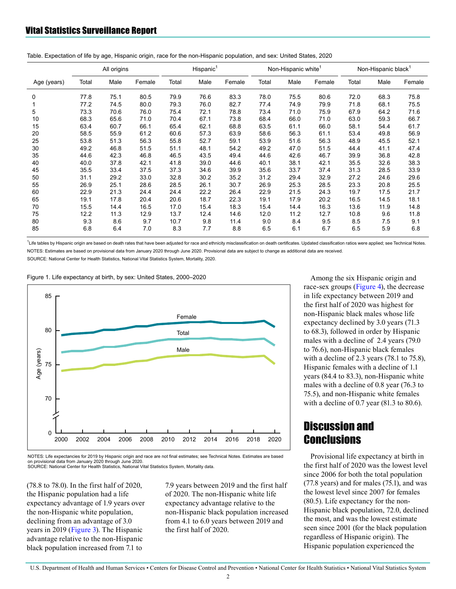|             | All origins |      |        | Hispanic <sup>1</sup> |      |        | Non-Hispanic white <sup>1</sup> |      |        | Non-Hispanic black <sup>1</sup> |      |        |
|-------------|-------------|------|--------|-----------------------|------|--------|---------------------------------|------|--------|---------------------------------|------|--------|
| Age (years) | Total       | Male | Female | Total                 | Male | Female | Total                           | Male | Female | Total                           | Male | Female |
| 0           | 77.8        | 75.1 | 80.5   | 79.9                  | 76.6 | 83.3   | 78.0                            | 75.5 | 80.6   | 72.0                            | 68.3 | 75.8   |
|             | 77.2        | 74.5 | 80.0   | 79.3                  | 76.0 | 82.7   | 77.4                            | 74.9 | 79.9   | 71.8                            | 68.1 | 75.5   |
| 5           | 73.3        | 70.6 | 76.0   | 75.4                  | 72.1 | 78.8   | 73.4                            | 71.0 | 75.9   | 67.9                            | 64.2 | 71.6   |
| 10          | 68.3        | 65.6 | 71.0   | 70.4                  | 67.1 | 73.8   | 68.4                            | 66.0 | 71.0   | 63.0                            | 59.3 | 66.7   |
| 15          | 63.4        | 60.7 | 66.1   | 65.4                  | 62.1 | 68.8   | 63.5                            | 61.1 | 66.0   | 58.1                            | 54.4 | 61.7   |
| 20          | 58.5        | 55.9 | 61.2   | 60.6                  | 57.3 | 63.9   | 58.6                            | 56.3 | 61.1   | 53.4                            | 49.8 | 56.9   |
| 25          | 53.8        | 51.3 | 56.3   | 55.8                  | 52.7 | 59.1   | 53.9                            | 51.6 | 56.3   | 48.9                            | 45.5 | 52.1   |
| 30          | 49.2        | 46.8 | 51.5   | 51.1                  | 48.1 | 54.2   | 49.2                            | 47.0 | 51.5   | 44.4                            | 41.1 | 47.4   |
| 35          | 44.6        | 42.3 | 46.8   | 46.5                  | 43.5 | 49.4   | 44.6                            | 42.6 | 46.7   | 39.9                            | 36.8 | 42.8   |
| 40          | 40.0        | 37.8 | 42.1   | 41.8                  | 39.0 | 44.6   | 40.1                            | 38.1 | 42.1   | 35.5                            | 32.6 | 38.3   |
| 45          | 35.5        | 33.4 | 37.5   | 37.3                  | 34.6 | 39.9   | 35.6                            | 33.7 | 37.4   | 31.3                            | 28.5 | 33.9   |
| 50          | 31.1        | 29.2 | 33.0   | 32.8                  | 30.2 | 35.2   | 31.2                            | 29.4 | 32.9   | 27.2                            | 24.6 | 29.6   |
| 55          | 26.9        | 25.1 | 28.6   | 28.5                  | 26.1 | 30.7   | 26.9                            | 25.3 | 28.5   | 23.3                            | 20.8 | 25.5   |
| 60          | 22.9        | 21.3 | 24.4   | 24.4                  | 22.2 | 26.4   | 22.9                            | 21.5 | 24.3   | 19.7                            | 17.5 | 21.7   |
| 65          | 19.1        | 17.8 | 20.4   | 20.6                  | 18.7 | 22.3   | 19.1                            | 17.9 | 20.2   | 16.5                            | 14.5 | 18.1   |
| 70          | 15.5        | 14.4 | 16.5   | 17.0                  | 15.4 | 18.3   | 15.4                            | 14.4 | 16.3   | 13.6                            | 11.9 | 14.8   |
| 75          | 12.2        | 11.3 | 12.9   | 13.7                  | 12.4 | 14.6   | 12.0                            | 11.2 | 12.7   | 10.8                            | 9.6  | 11.8   |
| 80          | 9.3         | 8.6  | 9.7    | 10.7                  | 9.8  | 11.4   | 9.0                             | 8.4  | 9.5    | 8.5                             | 7.5  | 9.1    |
| 85          | 6.8         | 6.4  | 7.0    | 8.3                   | 7.7  | 8.8    | 6.5                             | 6.1  | 6.7    | 6.5                             | 5.9  | 6.8    |

<span id="page-1-0"></span>Table. Expectation of life by age, Hispanic origin, race for the non-Hispanic population, and sex: United States, 2020

<sup>1</sup>Life tables by Hispanic origin are based on death rates that have been adjusted for race and ethnicity misclassification on death certificates. Updated classification ratios were applied; see Technical Notes. NOTES: Estimates are based on provisional data from January 2020 through June 2020. Provisional data are subject to change as additional data are received.

SOURCE: National Center for Health Statistics, National Vital Statistics System, Mortality, 2020.

Figure 1. Life expectancy at birth, by sex: United States, 2000-2020



NOTES: Life expectancies for 2019 by Hispanic origin and race are not final estimates: see Technical Notes. Estimates are based on provisional data from January 2020 through June 2020. SOURCE: National Center for Health Statistics, National Vital Statistics System, Mortality data.

(78.8 to 78.0). In the first half of 2020, the Hispanic population had a life expectancy advantage of 1.9 years over the non-Hispanic white population, declining from an advantage of 3.0 years in 2019 [\(Figure 3\).](#page-2-0) The Hispanic advantage relative to the non-Hispanic black population increased from 7.1 to

7.9 years between 2019 and the first half of 2020. The non-Hispanic white life expectancy advantage relative to the non-Hispanic black population increased from 4.1 to 6.0 years between 2019 and the first half of 2020.

Among the six Hispanic origin and race-sex groups [\(Figure 4\),](#page-3-0) the decrease in life expectancy between 2019 and the first half of 2020 was highest for non-Hispanic black males whose life expectancy declined by 3.0 years (71.3 to 68.3), followed in order by Hispanic males with a decline of 2.4 years (79.0 to 76.6), non-Hispanic black females with a decline of 2.3 years (78.1 to 75.8), Hispanic females with a decline of 1.1 years (84.4 to 83.3), non-Hispanic white males with a decline of 0.8 year (76.3 to 75.5), and non-Hispanic white females with a decline of 0.7 year (81.3 to 80.6).

# Discussion and **Conclusions**

Provisional life expectancy at birth in the first half of 2020 was the lowest level since 2006 for both the total population (77.8 years) and for males (75.1), and was the lowest level since 2007 for females (80.5). Life expectancy for the non-Hispanic black population, 72.0, declined the most, and was the lowest estimate seen since 2001 (for the black population regardless of Hispanic origin). The Hispanic population experienced the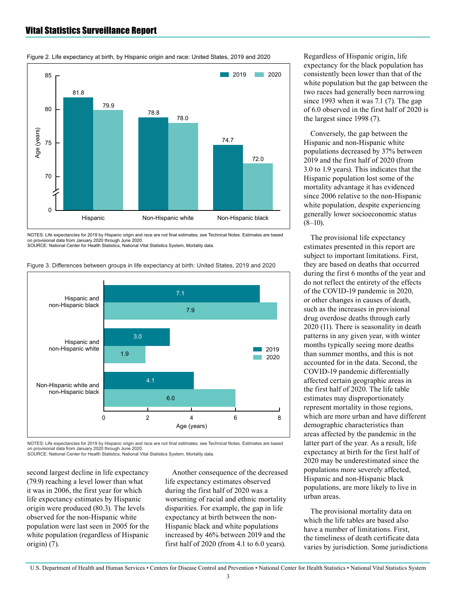### <span id="page-2-0"></span>Vital Statistics Surveillance Report



Figure 2. Life expectancy at birth, by Hispanic origin and race: United States, 2019 and 2020

NOTES: Life expectancies for 2019 by Hispanic origin and race are not final estimates; see Technical Notes. Estimates are based on provisional data from January 2020 through June 2020.<br>SOURCE: National Center for Health Statistics, National Vital Statistics System, Mortality data



Figure 3. Differences between groups in life expectancy at birth: United States, 2019 and 2020

NOTES: Life expectancies for 2019 by Hispanic origin and race are not final estimates; see Technical Notes. Estimates are based on provisional data from January 2020 through June 2020.<br>SOURCE: National Center for Health Statistics, National Vital Statistics System, Mortality data.

second largest decline in life expectancy (79.9) reaching a level lower than what it was in 2006, the first year for which life expectancy estimates by Hispanic origin were produced (80.3). The levels observed for the non-Hispanic white population were last seen in 2005 for the white population (regardless of Hispanic origin) (7).

Another consequence of the decreased life expectancy estimates observed during the first half of 2020 was a worsening of racial and ethnic mortality disparities. For example, the gap in life expectancy at birth between the non-Hispanic black and white populations increased by 46% between 2019 and the first half of 2020 (from 4.1 to 6.0 years).

Regardless of Hispanic origin, life expectancy for the black population has consistently been lower than that of the white population but the gap between the two races had generally been narrowing since 1993 when it was 7.1 (7). The gap of 6.0 observed in the first half of 2020 is the largest since 1998 (7).

Conversely, the gap between the Hispanic and non-Hispanic white populations decreased by 37% between 2019 and the first half of 2020 (from 3.0 to 1.9 years). This indicates that the Hispanic population lost some of the mortality advantage it has evidenced since 2006 relative to the non-Hispanic white population, despite experiencing generally lower socioeconomic status  $(8-10)$ .

The provisional life expectancy estimates presented in this report are subject to important limitations. First, they are based on deaths that occurred during the first 6 months of the year and do not reflect the entirety of the effects of the COVID-19 pandemic in 2020, or other changes in causes of death, such as the increases in provisional drug overdose deaths through early 2020 (11). There is seasonality in death patterns in any given year, with winter months typically seeing more deaths than summer months, and this is not accounted for in the data. Second, the COVID-19 pandemic differentially affected certain geographic areas in the first half of 2020. The life table estimates may disproportionately represent mortality in those regions, which are more urban and have different demographic characteristics than areas affected by the pandemic in the latter part of the year. As a result, life expectancy at birth for the first half of 2020 may be underestimated since the populations more severely affected, Hispanic and non-Hispanic black populations, are more likely to live in urban areas.

The provisional mortality data on which the life tables are based also have a number of limitations. First, the timeliness of death certificate data varies by jurisdiction. Some jurisdictions

U.S. Department of Health and Human Services • Centers for Disease Control and Prevention • National Center for Health Statistics • National Vital Statistics System

3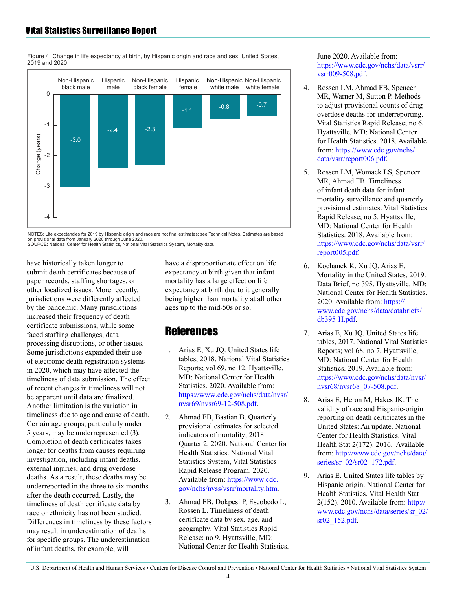

<span id="page-3-0"></span>Figure 4. Change in life expectancy at birth, by Hispanic origin and race and sex: United States, 2019 and 2020

NOTES: Life expectancies for 2019 by Hispanic origin and race are not final estimates; see Technical Notes. Estimates are based on provisional data from January 2020 through June 2020 SOURCE: National Center for Health Statistics National Vital Statistics System Mortality data

have historically taken longer to submit death certificates because of paper records, staffing shortages, or other localized issues. More recently, jurisdictions were differently affected by the pandemic. Many jurisdictions increased their frequency of death certificate submissions, while some faced staffing challenges, data processing disruptions, or other issues. Some jurisdictions expanded their use of electronic death registration systems in 2020, which may have affected the timeliness of data submission. The effect of recent changes in timeliness will not be apparent until data are finalized. Another limitation is the variation in timeliness due to age and cause of death. Certain age groups, particularly under 5 years, may be underrepresented (3). Completion of death certificates takes longer for deaths from causes requiring investigation, including infant deaths, external injuries, and drug overdose deaths. As a result, these deaths may be underreported in the three to six months after the death occurred. Lastly, the timeliness of death certificate data by race or ethnicity has not been studied. Differences in timeliness by these factors may result in underestimation of deaths for specific groups. The underestimation of infant deaths, for example, will

have a disproportionate effect on life expectancy at birth given that infant mortality has a large effect on life expectancy at birth due to it generally being higher than mortality at all other ages up to the mid-50s or so.

# **References**

- 1. Arias E, Xu JQ. United States life tables, 2018. National Vital Statistics Reports; vol 69, no 12. Hyattsville, MD: National Center for Health Statistics. 2020. Available from: [https://www.cdc.gov/nchs/data/nvsr/](https://www.cdc.gov/nchs/data/nvsr/nvsr69/nvsr69-12-508.pdf) [nvsr69/nvsr69-12-508.pdf.](https://www.cdc.gov/nchs/data/nvsr/nvsr69/nvsr69-12-508.pdf)
- 2. Ahmad FB, Bastian B. Quarterly provisional estimates for selected indicators of mortality, 2018– Quarter 2, 2020. National Center for Health Statistics. National Vital Statistics System, Vital Statistics Rapid Release Program. 2020. Available from: [https://www.cdc.](https://www.cdc.gov/nchs/nvss/vsrr/mortality.htm) [gov/nchs/nvss/vsrr/mortality.htm](https://www.cdc.gov/nchs/nvss/vsrr/mortality.htm).
- 3. Ahmad FB, Dokpesi P, Escobedo L, Rossen L. Timeliness of death certificate data by sex, age, and geography. Vital Statistics Rapid Release; no 9. Hyattsville, MD: National Center for Health Statistics.

#### June 2020. Available from: [https://www.cdc.gov/nchs/data/vsrr/](https://www.cdc.gov/nchs/data/vsrr/vsrr009-508.pdf) [vsrr009-508.pdf.](https://www.cdc.gov/nchs/data/vsrr/vsrr009-508.pdf)

- 4. Rossen LM, Ahmad FB, Spencer MR, Warner M, Sutton P. Methods to adjust provisional counts of drug overdose deaths for underreporting. Vital Statistics Rapid Release; no 6. Hyattsville, MD: National Center for Health Statistics. 2018. Available from: [https://www.cdc.gov/nchs/](https://www.cdc.gov/nchs/data/vsrr/report006.pdf) [data/vsrr/report006.pdf](https://www.cdc.gov/nchs/data/vsrr/report006.pdf).
- 5. Rossen LM, Womack LS, Spencer MR, Ahmad FB. Timeliness of infant death data for infant mortality surveillance and quarterly provisional estimates. Vital Statistics Rapid Release; no 5. Hyattsville, MD: National Center for Health Statistics. 2018. Available from: [https://www.cdc.gov/nchs/data/vsrr/](https://www.cdc.gov/nchs/data/vsrr/report005.pdf) [report005.pdf.](https://www.cdc.gov/nchs/data/vsrr/report005.pdf)
- 6. Kochanek K, Xu JQ, Arias E. Mortality in the United States, 2019. Data Brief, no 395. Hyattsville, MD: National Center for Health Statistics. 2020. Available from: [https://](https://www.cdc.gov/nchs/data/databriefs/db395-H.pdf) [www.cdc.gov/nchs/data/databriefs/](https://www.cdc.gov/nchs/data/databriefs/db395-H.pdf) [db395-H.pdf](https://www.cdc.gov/nchs/data/databriefs/db395-H.pdf).
- 7. Arias E, Xu JQ. United States life tables, 2017. National Vital Statistics Reports; vol 68, no 7. Hyattsville, MD: National Center for Health Statistics. 2019. Available from: [https://www.cdc.gov/nchs/data/nvsr/](https://www.cdc.gov/nchs/data/nvsr/nvsr68/nvsr68_07-508.pdf) [nvsr68/nvsr68\\_07-508.pdf](https://www.cdc.gov/nchs/data/nvsr/nvsr68/nvsr68_07-508.pdf).
- 8. Arias E, Heron M, Hakes JK. The validity of race and Hispanic-origin reporting on death certificates in the United States: An update. National Center for Health Statistics. Vital Health Stat 2(172). 2016. Available from: [http://www.cdc.gov/nchs/data/](http://www.cdc.gov/nchs/data/series/sr_02/sr02_172.pdf) [series/sr\\_02/sr02\\_172.pdf.](http://www.cdc.gov/nchs/data/series/sr_02/sr02_172.pdf)
- 9. Arias E. United States life tables by Hispanic origin. National Center for Health Statistics. Vital Health Stat 2(152). 2010. Available from: [http://](http://www.cdc.gov/nchs/data/series/sr_02/sr02_152.pdf) [www.cdc.gov/nchs/data/series/sr\\_02/](http://www.cdc.gov/nchs/data/series/sr_02/sr02_152.pdf) [sr02\\_152.pdf](http://www.cdc.gov/nchs/data/series/sr_02/sr02_152.pdf).

U.S. Department of Health and Human Services • Centers for Disease Control and Prevention • National Center for Health Statistics • National Vital Statistics System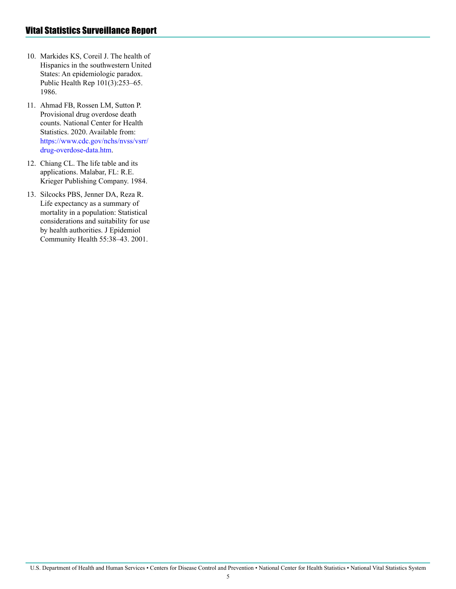- 10. Markides KS, Coreil J. The health of Hispanics in the southwestern United States: An epidemiologic paradox. Public Health Rep 101(3):253–65. 1986.
- 11. Ahmad FB, Rossen LM, Sutton P. Provisional drug overdose death counts. National Center for Health Statistics. 2020. Available from: [https://www.cdc.gov/nchs/nvss/vsrr/](https://www.cdc.gov/nchs/nvss/vsrr/drug-overdose-data.htm) [drug-overdose-data.htm.](https://www.cdc.gov/nchs/nvss/vsrr/drug-overdose-data.htm)
- 12. Chiang CL. The life table and its applications. Malabar, FL: R.E. Krieger Publishing Company. 1984.
- 13. Silcocks PBS, Jenner DA, Reza R. Life expectancy as a summary of mortality in a population: Statistical considerations and suitability for use by health authorities. J Epidemiol Community Health 55:38–43. 2001.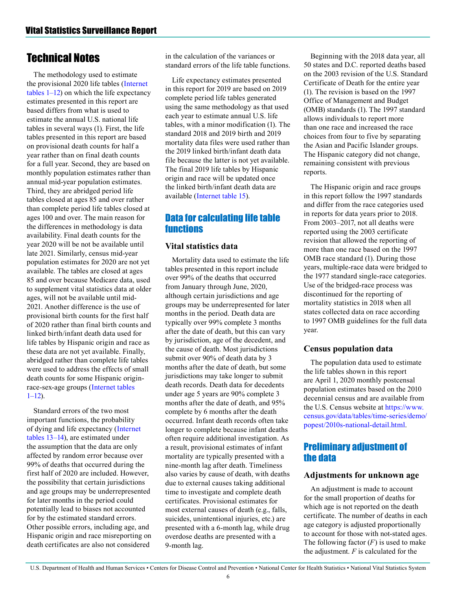# <span id="page-5-0"></span>Technical Notes

The methodology used to estimate the provisional 2020 life tables [\(Internet](https://www.cdc.gov/nchs/data/vsrr/vsrr010-tables-508.pdf)  [tables 1–12\)](https://www.cdc.gov/nchs/data/vsrr/vsrr010-tables-508.pdf) on which the life expectancy estimates presented in this report are based differs from what is used to estimate the annual U.S. national life tables in several ways (1). First, the life tables presented in this report are based on provisional death counts for half a year rather than on final death counts for a full year. Second, they are based on monthly population estimates rather than annual mid-year population estimates. Third, they are abridged period life tables closed at ages 85 and over rather than complete period life tables closed at ages 100 and over. The main reason for the differences in methodology is data availability. Final death counts for the year 2020 will be not be available until late 2021. Similarly, census mid-year population estimates for 2020 are not yet available. The tables are closed at ages 85 and over because Medicare data, used to supplement vital statistics data at older ages, will not be available until mid-2021. Another difference is the use of provisional birth counts for the first half of 2020 rather than final birth counts and linked birth/infant death data used for life tables by Hispanic origin and race as these data are not yet available. Finally, abridged rather than complete life tables were used to address the effects of small death counts for some Hispanic originrace-sex-age groups ([Internet tables](https://www.cdc.gov/nchs/data/vsrr/vsrr010-tables-508.pdf)   $1-12$ ).

Standard errors of the two most important functions, the probability of dying and life expectancy ([Internet](https://www.cdc.gov/nchs/data/vsrr/vsrr010-tables-508.pdf)  [tables 13–14\)](https://www.cdc.gov/nchs/data/vsrr/vsrr010-tables-508.pdf), are estimated under the assumption that the data are only affected by random error because over 99% of deaths that occurred during the first half of 2020 are included. However, the possibility that certain jurisdictions and age groups may be underrepresented for later months in the period could potentially lead to biases not accounted for by the estimated standard errors. Other possible errors, including age, and Hispanic origin and race misreporting on death certificates are also not considered

in the calculation of the variances or standard errors of the life table functions.

Life expectancy estimates presented in this report for 2019 are based on 2019 complete period life tables generated using the same methodology as that used each year to estimate annual U.S. life tables, with a minor modification (1). The standard 2018 and 2019 birth and 2019 mortality data files were used rather than the 2019 linked birth/infant death data file because the latter is not yet available. The final 2019 life tables by Hispanic origin and race will be updated once the linked birth/infant death data are available ([Internet table 15](https://www.cdc.gov/nchs/data/vsrr/vsrr010-tables-508.pdf)).

### Data for calculating life table functions

#### **Vital statistics data**

Mortality data used to estimate the life tables presented in this report include over 99% of the deaths that occurred from January through June, 2020, although certain jurisdictions and age groups may be underrepresented for later months in the period. Death data are typically over 99% complete 3 months after the date of death, but this can vary by jurisdiction, age of the decedent, and the cause of death. Most jurisdictions submit over 90% of death data by 3 months after the date of death, but some jurisdictions may take longer to submit death records. Death data for decedents under age 5 years are 90% complete 3 months after the date of death, and 95% complete by 6 months after the death occurred. Infant death records often take longer to complete because infant deaths often require additional investigation. As a result, provisional estimates of infant mortality are typically presented with a nine-month lag after death. Timeliness also varies by cause of death, with deaths due to external causes taking additional time to investigate and complete death certificates. Provisional estimates for most external causes of death (e.g., falls, suicides, unintentional injuries, etc.) are presented with a 6-month lag, while drug overdose deaths are presented with a 9-month lag.

Beginning with the 2018 data year, all 50 states and D.C. reported deaths based on the 2003 revision of the U.S. Standard Certificate of Death for the entire year (1). The revision is based on the 1997 Office of Management and Budget (OMB) standards (1). The 1997 standard allows individuals to report more than one race and increased the race choices from four to five by separating the Asian and Pacific Islander groups. The Hispanic category did not change, remaining consistent with previous reports.

The Hispanic origin and race groups in this report follow the 1997 standards and differ from the race categories used in reports for data years prior to 2018. From 2003–2017, not all deaths were reported using the 2003 certificate revision that allowed the reporting of more than one race based on the 1997 OMB race standard (1). During those years, multiple-race data were bridged to the 1977 standard single-race categories. Use of the bridged-race process was discontinued for the reporting of mortality statistics in 2018 when all states collected data on race according to 1997 OMB guidelines for the full data year.

### **Census population data**

The population data used to estimate the life tables shown in this report are April 1, 2020 monthly postcensal population estimates based on the 2010 decennial census and are available from the U.S. Census website at [https://www.](https://www.census.gov/data/tables/time-series/demo/popest/2010s-national-detail.html) [census.gov/data/tables/time-series/demo/](https://www.census.gov/data/tables/time-series/demo/popest/2010s-national-detail.html) [popest/2010s-national-detail.html](https://www.census.gov/data/tables/time-series/demo/popest/2010s-national-detail.html).

### Preliminary adjustment of the data

### **Adjustments for unknown age**

An adjustment is made to account for the small proportion of deaths for which age is not reported on the death certificate. The number of deaths in each age category is adjusted proportionally to account for those with not-stated ages. The following factor  $(F)$  is used to make the adjustment. *F* is calculated for the

U.S. Department of Health and Human Services • Centers for Disease Control and Prevention • National Center for Health Statistics • National Vital Statistics System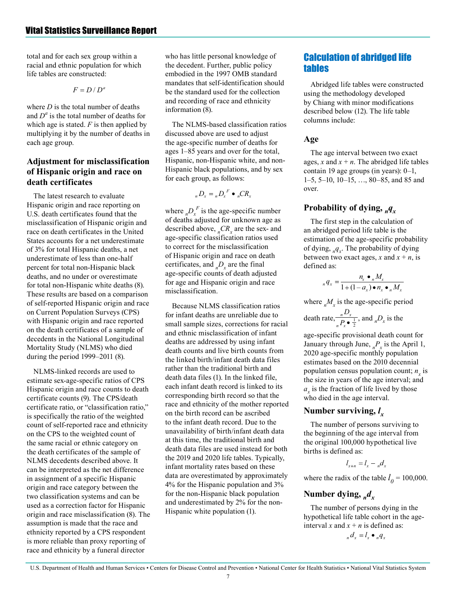total and for each sex group within a racial and ethnic population for which life tables are constructed:

> $F = D/D^a$

where *D* is the total number of deaths and  $D^a$  is the total number of deaths for which age is stated. *F* is then applied by multiplying it by the number of deaths in each age group.

#### **Adjustment for misclassification of Hispanic origin and race on death certificates**

The latest research to evaluate Hispanic origin and race reporting on U.S. death certificates found that the misclassification of Hispanic origin and race on death certificates in the United States accounts for a net underestimate of 3% for total Hispanic deaths, a net underestimate of less than one-half percent for total non-Hispanic black deaths, and no under or overestimate for total non-Hispanic white deaths (8). These results are based on a comparison of self-reported Hispanic origin and race on Current Population Surveys (CPS) with Hispanic origin and race reported on the death certificates of a sample of decedents in the National Longitudinal Mortality Study (NLMS) who died during the period 1999–2011 (8).

NLMS-linked records are used to estimate sex-age-specific ratios of CPS Hispanic origin and race counts to death certificate counts (9). The CPS/death certificate ratio, or "classification ratio," is specifically the ratio of the weighted count of self-reported race and ethnicity on the CPS to the weighted count of the same racial or ethnic category on the death certificates of the sample of NLMS decedents described above. It can be interpreted as the net difference in assignment of a specific Hispanic origin and race category between the two classification systems and can be used as a correction factor for Hispanic origin and race misclassification (8). The assumption is made that the race and ethnicity reported by a CPS respondent is more reliable than proxy reporting of race and ethnicity by a funeral director

who has little personal knowledge of the decedent. Further, public policy embodied in the 1997 OMB standard mandates that self-identification should be the standard used for the collection and recording of race and ethnicity information (8).

The NLMS-based classification ratios discussed above are used to adjust the age-specific number of deaths for ages 1–85 years and over for the total, Hispanic, non-Hispanic white, and non-Hispanic black populations, and by sex for each group, as follows:

$$
D_x = {}_nD_x^F \bullet {}_nCR
$$

where  $n D_x^F$  is the age-specific number of deaths adjusted for unknown age as described above,  ${}_{n}CR_{x}$  are the sex- and age-specific classification ratios used to correct for the misclassification of Hispanic origin and race on death certificates, and  $_D_p_n$  are the final age-specific counts of death adjusted for age and Hispanic origin and race misclassification.

Because NLMS classification ratios for infant deaths are unreliable due to small sample sizes, corrections for racial and ethnic misclassification of infant deaths are addressed by using infant death counts and live birth counts from the linked birth/infant death data files rather than the traditional birth and death data files (1). In the linked file, each infant death record is linked to its corresponding birth record so that the race and ethnicity of the mother reported on the birth record can be ascribed to the infant death record. Due to the unavailability of birth/infant death data at this time, the traditional birth and death data files are used instead for both the 2019 and 2020 life tables. Typically, infant mortality rates based on these data are overestimated by approximately 4% for the Hispanic population and 3% for the non-Hispanic black population and underestimated by 2% for the non-Hispanic white population (1).

### Calculation of abridged life tables

Abridged life tables were constructed using the methodology developed by Chiang with minor modifications described below (12). The life table columns include:

#### **Age**

The age interval between two exact ages, *x* and  $x + n$ . The abridged life tables contain 19 age groups (in years): 0–1, 1–5, 5–10, 10–15, …, 80–85, and 85 and over.

### Probability of dying, <sub>*n*</sub>*q<sub>x</sub>*

The first step in the calculation of an abridged period life table is the estimation of the age-specific probability of dying, *nqx* . The probability of dying between two exact ages, x and  $x + n$ , is defined as:

$$
{}_{n}q_{x} = \frac{n_{x} \bullet {}_{n}M_{x}}{1 + (1 - a_{x}) \bullet n_{x} \bullet {}_{n}M_{x}}
$$

where  ${}_{n}M_{x}$  is the age-specific period

death rate, 
$$
\frac{nD_x}{nP_x \cdot \frac{1}{2}}
$$
, and  $nD_x$  is the

age-specific provisional death count for January through June,  ${}_{n}P_{x}$  is the April 1, 2020 age-specific monthly population estimates based on the 2010 decennial population census population count;  $n_x$  is the size in years of the age interval; and  $a_x$  is the fraction of life lived by those who died in the age interval.

### **Number surviving,** *l x*

The number of persons surviving to the beginning of the age interval from the original 100,000 hypothetical live births is defined as:

$$
l_{x+n} = l_x - {}_n a
$$

where the radix of the table  $l_0 = 100,000$ .

### Number dying,  $_{n}d_{r}$

The number of persons dying in the hypothetical life table cohort in the ageinterval *x* and  $x + n$  is defined as:

 $_{n}d_{x}=l_{x}\bullet_{n}q_{x}$ 

7